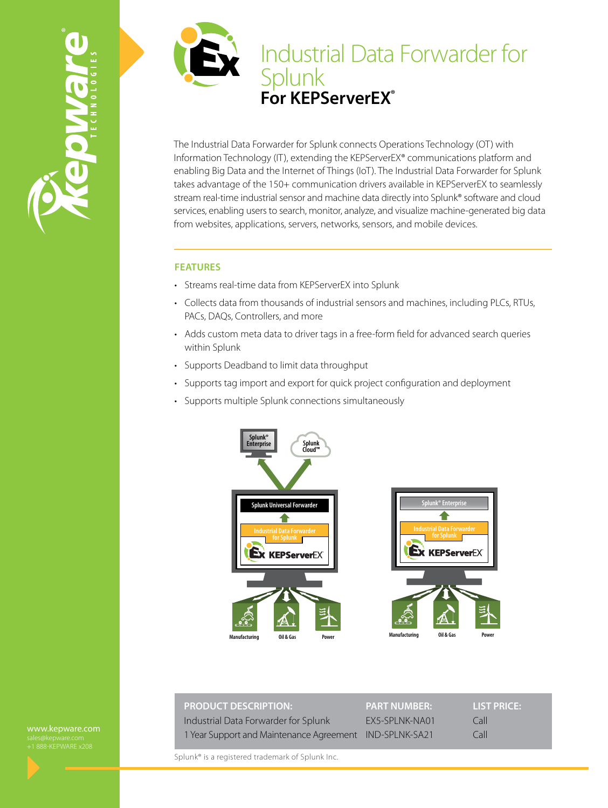



The Industrial Data Forwarder for Splunk connects Operations Technology (OT) with Information Technology (IT), extending the KEPServerEX® communications platform and enabling Big Data and the Internet of Things (IoT). The Industrial Data Forwarder for Splunk takes advantage of the 150+ communication drivers available in KEPServerEX to seamlessly stream real-time industrial sensor and machine data directly into Splunk® software and cloud services, enabling users to search, monitor, analyze, and visualize machine-generated big data from websites, applications, servers, networks, sensors, and mobile devices.

### **FEATURES**

- Streams real-time data from KEPServerEX into Splunk
- Collects data from thousands of industrial sensors and machines, including PLCs, RTUs, PACs, DAQs, Controllers, and more
- Adds custom meta data to driver tags in a free-form field for advanced search queries within Splunk
- Supports Deadband to limit data throughput
- Supports tag import and export for quick project configuration and deployment
- Supports multiple Splunk connections simultaneously



| <b>PRODUCT DESCRIPTION:</b>                             | <b>PART NUMBER:</b> | <b>LIST PRICE:</b> |
|---------------------------------------------------------|---------------------|--------------------|
| Industrial Data Forwarder for Splunk                    | EX5-SPLNK-NA01      | Call               |
| 1 Year Support and Maintenance Agreement IND-SPLNK-SA21 |                     | Call               |

Splunk® is a registered trademark of Splunk Inc.